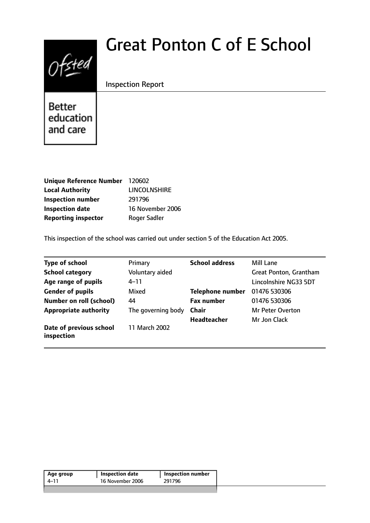# Great Ponton C of E School



Inspection Report

Better education and care

| Unique Reference Number 120602 |                     |
|--------------------------------|---------------------|
| <b>Local Authority</b>         | <b>LINCOLNSHIRE</b> |
| <b>Inspection number</b>       | 291796              |
| <b>Inspection date</b>         | 16 November 2006    |
| <b>Reporting inspector</b>     | <b>Roger Sadler</b> |

This inspection of the school was carried out under section 5 of the Education Act 2005.

| Type of school                        | Primary            | <b>School address</b>   | Mill Lane               |
|---------------------------------------|--------------------|-------------------------|-------------------------|
| <b>School category</b>                | Voluntary aided    |                         | Great Ponton, Grantham  |
| Age range of pupils                   | $4 - 11$           |                         | Lincolnshire NG33 5DT   |
| <b>Gender of pupils</b>               | Mixed              | <b>Telephone number</b> | 01476 530306            |
| <b>Number on roll (school)</b>        | 44                 | <b>Fax number</b>       | 01476 530306            |
| <b>Appropriate authority</b>          | The governing body | <b>Chair</b>            | <b>Mr Peter Overton</b> |
|                                       |                    | <b>Headteacher</b>      | Mr Jon Clack            |
| Date of previous school<br>inspection | 11 March 2002      |                         |                         |

| 16 November 2006<br>291796<br>$4 - 11$ | Age group | <b>Inspection date</b> | <b>Inspection number</b> |  |
|----------------------------------------|-----------|------------------------|--------------------------|--|
|                                        |           |                        |                          |  |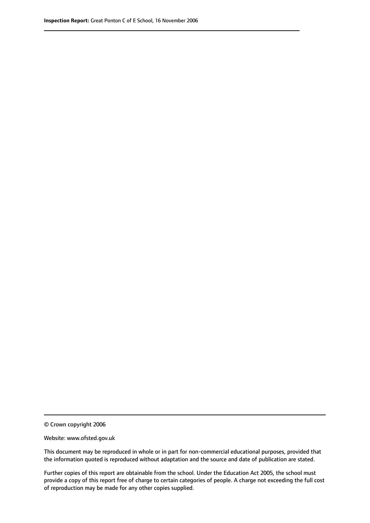© Crown copyright 2006

Website: www.ofsted.gov.uk

This document may be reproduced in whole or in part for non-commercial educational purposes, provided that the information quoted is reproduced without adaptation and the source and date of publication are stated.

Further copies of this report are obtainable from the school. Under the Education Act 2005, the school must provide a copy of this report free of charge to certain categories of people. A charge not exceeding the full cost of reproduction may be made for any other copies supplied.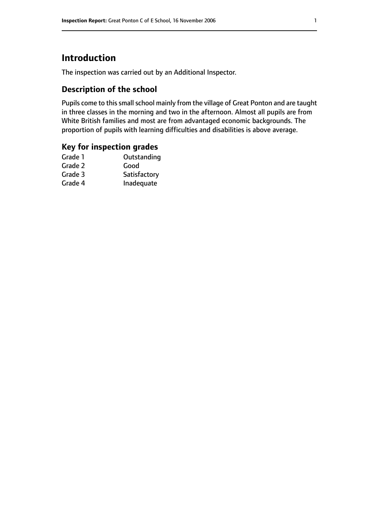# **Introduction**

The inspection was carried out by an Additional Inspector.

## **Description of the school**

Pupils come to this small school mainly from the village of Great Ponton and are taught in three classes in the morning and two in the afternoon. Almost all pupils are from White British families and most are from advantaged economic backgrounds. The proportion of pupils with learning difficulties and disabilities is above average.

## **Key for inspection grades**

| Grade 1 | Outstanding  |
|---------|--------------|
| Grade 2 | Good         |
| Grade 3 | Satisfactory |
| Grade 4 | Inadequate   |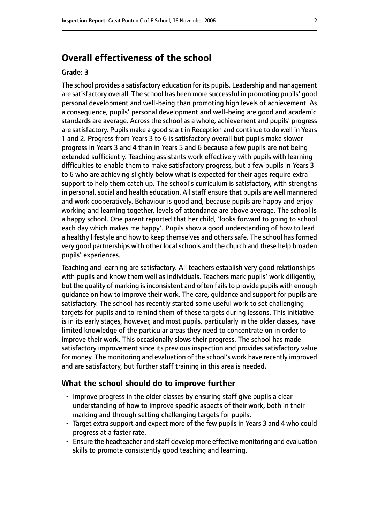# **Overall effectiveness of the school**

#### **Grade: 3**

The school provides a satisfactory education for its pupils. Leadership and management are satisfactory overall. The school has been more successful in promoting pupils' good personal development and well-being than promoting high levels of achievement. As a consequence, pupils' personal development and well-being are good and academic standards are average. Across the school as a whole, achievement and pupils' progress are satisfactory. Pupils make a good start in Reception and continue to do well in Years 1 and 2. Progress from Years 3 to 6 is satisfactory overall but pupils make slower progress in Years 3 and 4 than in Years 5 and 6 because a few pupils are not being extended sufficiently. Teaching assistants work effectively with pupils with learning difficulties to enable them to make satisfactory progress, but a few pupils in Years 3 to 6 who are achieving slightly below what is expected for their ages require extra support to help them catch up. The school's curriculum is satisfactory, with strengths in personal, social and health education. All staff ensure that pupils are well mannered and work cooperatively. Behaviour is good and, because pupils are happy and enjoy working and learning together, levels of attendance are above average. The school is a happy school. One parent reported that her child, 'looks forward to going to school each day which makes me happy'. Pupils show a good understanding of how to lead a healthy lifestyle and how to keep themselves and others safe. The school has formed very good partnerships with other local schools and the church and these help broaden pupils' experiences.

Teaching and learning are satisfactory. All teachers establish very good relationships with pupils and know them well as individuals. Teachers mark pupils' work diligently, but the quality of marking is inconsistent and often fails to provide pupils with enough guidance on how to improve their work. The care, guidance and support for pupils are satisfactory. The school has recently started some useful work to set challenging targets for pupils and to remind them of these targets during lessons. This initiative is in its early stages, however, and most pupils, particularly in the older classes, have limited knowledge of the particular areas they need to concentrate on in order to improve their work. This occasionally slows their progress. The school has made satisfactory improvement since its previous inspection and provides satisfactory value for money. The monitoring and evaluation of the school's work have recently improved and are satisfactory, but further staff training in this area is needed.

#### **What the school should do to improve further**

- Improve progress in the older classes by ensuring staff give pupils a clear understanding of how to improve specific aspects of their work, both in their marking and through setting challenging targets for pupils.
- Target extra support and expect more of the few pupils in Years 3 and 4 who could progress at a faster rate.
- Ensure the headteacher and staff develop more effective monitoring and evaluation skills to promote consistently good teaching and learning.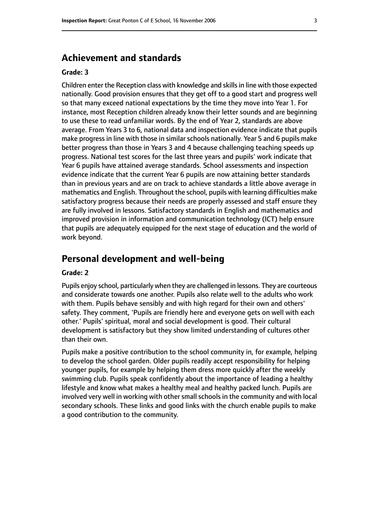## **Achievement and standards**

#### **Grade: 3**

Children enter the Reception class with knowledge and skillsin line with those expected nationally. Good provision ensures that they get off to a good start and progress well so that many exceed national expectations by the time they move into Year 1. For instance, most Reception children already know their letter sounds and are beginning to use these to read unfamiliar words. By the end of Year 2, standards are above average. From Years 3 to 6, national data and inspection evidence indicate that pupils make progress in line with those in similar schools nationally. Year 5 and 6 pupils make better progress than those in Years 3 and 4 because challenging teaching speeds up progress. National test scores for the last three years and pupils' work indicate that Year 6 pupils have attained average standards. School assessments and inspection evidence indicate that the current Year 6 pupils are now attaining better standards than in previous years and are on track to achieve standards a little above average in mathematics and English. Throughout the school, pupils with learning difficulties make satisfactory progress because their needs are properly assessed and staff ensure they are fully involved in lessons. Satisfactory standards in English and mathematics and improved provision in information and communication technology (ICT) help ensure that pupils are adequately equipped for the next stage of education and the world of work beyond.

# **Personal development and well-being**

#### **Grade: 2**

Pupils enjoy school, particularly when they are challenged in lessons. They are courteous and considerate towards one another. Pupils also relate well to the adults who work with them. Pupils behave sensibly and with high regard for their own and others' safety. They comment, 'Pupils are friendly here and everyone gets on well with each other.' Pupils' spiritual, moral and social development is good. Their cultural development is satisfactory but they show limited understanding of cultures other than their own.

Pupils make a positive contribution to the school community in, for example, helping to develop the school garden. Older pupils readily accept responsibility for helping younger pupils, for example by helping them dress more quickly after the weekly swimming club. Pupils speak confidently about the importance of leading a healthy lifestyle and know what makes a healthy meal and healthy packed lunch. Pupils are involved very well in working with other small schools in the community and with local secondary schools. These links and good links with the church enable pupils to make a good contribution to the community.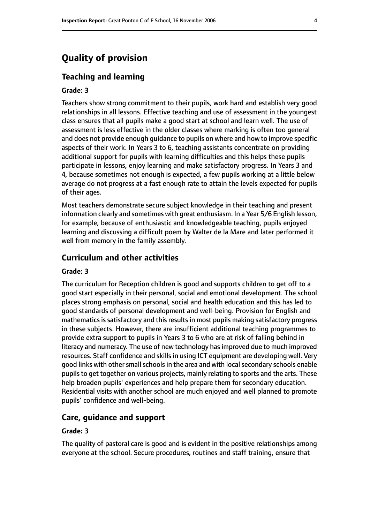# **Quality of provision**

#### **Teaching and learning**

#### **Grade: 3**

Teachers show strong commitment to their pupils, work hard and establish very good relationships in all lessons. Effective teaching and use of assessment in the youngest class ensures that all pupils make a good start at school and learn well. The use of assessment is less effective in the older classes where marking is often too general and does not provide enough guidance to pupils on where and how to improve specific aspects of their work. In Years 3 to 6, teaching assistants concentrate on providing additional support for pupils with learning difficulties and this helps these pupils participate in lessons, enjoy learning and make satisfactory progress. In Years 3 and 4, because sometimes not enough is expected, a few pupils working at a little below average do not progress at a fast enough rate to attain the levels expected for pupils of their ages.

Most teachers demonstrate secure subject knowledge in their teaching and present information clearly and sometimes with great enthusiasm. In a Year 5/6 English lesson, for example, because of enthusiastic and knowledgeable teaching, pupils enjoyed learning and discussing a difficult poem by Walter de la Mare and later performed it well from memory in the family assembly.

#### **Curriculum and other activities**

#### **Grade: 3**

The curriculum for Reception children is good and supports children to get off to a good start especially in their personal, social and emotional development. The school places strong emphasis on personal, social and health education and this has led to good standards of personal development and well-being. Provision for English and mathematics is satisfactory and this results in most pupils making satisfactory progress in these subjects. However, there are insufficient additional teaching programmes to provide extra support to pupils in Years 3 to 6 who are at risk of falling behind in literacy and numeracy. The use of new technology has improved due to much improved resources. Staff confidence and skills in using ICT equipment are developing well. Very good links with other small schools in the area and with local secondary schools enable pupils to get together on various projects, mainly relating to sports and the arts. These help broaden pupils' experiences and help prepare them for secondary education. Residential visits with another school are much enjoyed and well planned to promote pupils' confidence and well-being.

#### **Care, guidance and support**

#### **Grade: 3**

The quality of pastoral care is good and is evident in the positive relationships among everyone at the school. Secure procedures, routines and staff training, ensure that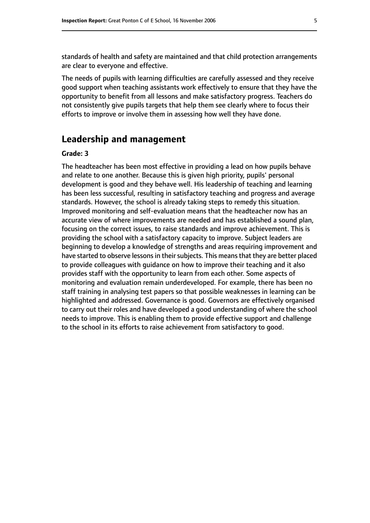standards of health and safety are maintained and that child protection arrangements are clear to everyone and effective.

The needs of pupils with learning difficulties are carefully assessed and they receive good support when teaching assistants work effectively to ensure that they have the opportunity to benefit from all lessons and make satisfactory progress. Teachers do not consistently give pupils targets that help them see clearly where to focus their efforts to improve or involve them in assessing how well they have done.

## **Leadership and management**

#### **Grade: 3**

The headteacher has been most effective in providing a lead on how pupils behave and relate to one another. Because this is given high priority, pupils' personal development is good and they behave well. His leadership of teaching and learning has been less successful, resulting in satisfactory teaching and progress and average standards. However, the school is already taking steps to remedy this situation. Improved monitoring and self-evaluation means that the headteacher now has an accurate view of where improvements are needed and has established a sound plan, focusing on the correct issues, to raise standards and improve achievement. This is providing the school with a satisfactory capacity to improve. Subject leaders are beginning to develop a knowledge of strengths and areas requiring improvement and have started to observe lessons in their subjects. This means that they are better placed to provide colleagues with guidance on how to improve their teaching and it also provides staff with the opportunity to learn from each other. Some aspects of monitoring and evaluation remain underdeveloped. For example, there has been no staff training in analysing test papers so that possible weaknesses in learning can be highlighted and addressed. Governance is good. Governors are effectively organised to carry out their roles and have developed a good understanding of where the school needs to improve. This is enabling them to provide effective support and challenge to the school in its efforts to raise achievement from satisfactory to good.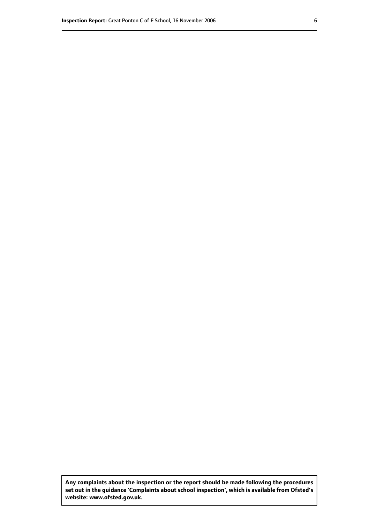**Any complaints about the inspection or the report should be made following the procedures set out inthe guidance 'Complaints about school inspection', whichis available from Ofsted's website: www.ofsted.gov.uk.**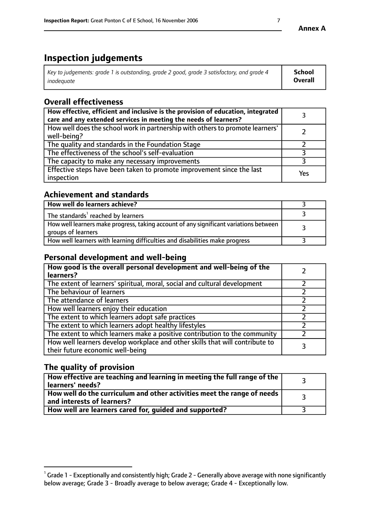# **Inspection judgements**

| Key to judgements: grade 1 is outstanding, grade 2 good, grade 3 satisfactory, and grade 4 | School         |
|--------------------------------------------------------------------------------------------|----------------|
| inadeauate                                                                                 | <b>Overall</b> |

# **Overall effectiveness**

| How effective, efficient and inclusive is the provision of education, integrated<br>care and any extended services in meeting the needs of learners? |     |
|------------------------------------------------------------------------------------------------------------------------------------------------------|-----|
| How well does the school work in partnership with others to promote learners'<br>well-being?                                                         |     |
| The quality and standards in the Foundation Stage                                                                                                    |     |
| The effectiveness of the school's self-evaluation                                                                                                    |     |
| The capacity to make any necessary improvements                                                                                                      |     |
| Effective steps have been taken to promote improvement since the last<br>inspection                                                                  | Yes |

## **Achievement and standards**

| How well do learners achieve?                                                                               |  |
|-------------------------------------------------------------------------------------------------------------|--|
| The standards <sup>1</sup> reached by learners                                                              |  |
| How well learners make progress, taking account of any significant variations between<br>groups of learners |  |
| How well learners with learning difficulties and disabilities make progress                                 |  |

## **Personal development and well-being**

| How good is the overall personal development and well-being of the<br>learners?                                  |  |
|------------------------------------------------------------------------------------------------------------------|--|
| The extent of learners' spiritual, moral, social and cultural development                                        |  |
| The behaviour of learners                                                                                        |  |
| The attendance of learners                                                                                       |  |
| How well learners enjoy their education                                                                          |  |
| The extent to which learners adopt safe practices                                                                |  |
| The extent to which learners adopt healthy lifestyles                                                            |  |
| The extent to which learners make a positive contribution to the community                                       |  |
| How well learners develop workplace and other skills that will contribute to<br>their future economic well-being |  |

# **The quality of provision**

| $\Box$ How effective are teaching and learning in meeting the full range of the $\Box$<br>  learners' needs?        |  |
|---------------------------------------------------------------------------------------------------------------------|--|
| $\mid$ How well do the curriculum and other activities meet the range of needs<br>$\mid$ and interests of learners? |  |
| How well are learners cared for, guided and supported?                                                              |  |

 $^1$  Grade 1 - Exceptionally and consistently high; Grade 2 - Generally above average with none significantly below average; Grade 3 - Broadly average to below average; Grade 4 - Exceptionally low.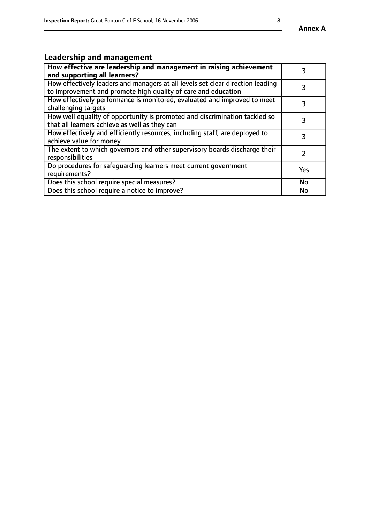#### **Annex A**

# **Leadership and management**

| How effective are leadership and management in raising achievement<br>and supporting all learners?                                              |           |
|-------------------------------------------------------------------------------------------------------------------------------------------------|-----------|
| How effectively leaders and managers at all levels set clear direction leading<br>to improvement and promote high quality of care and education |           |
| How effectively performance is monitored, evaluated and improved to meet<br>challenging targets                                                 | 3         |
| How well equality of opportunity is promoted and discrimination tackled so<br>that all learners achieve as well as they can                     |           |
| How effectively and efficiently resources, including staff, are deployed to<br>achieve value for money                                          | 3         |
| The extent to which governors and other supervisory boards discharge their<br>responsibilities                                                  |           |
| Do procedures for safequarding learners meet current government<br>requirements?                                                                | Yes       |
| Does this school require special measures?                                                                                                      | <b>No</b> |
| Does this school require a notice to improve?                                                                                                   | No        |